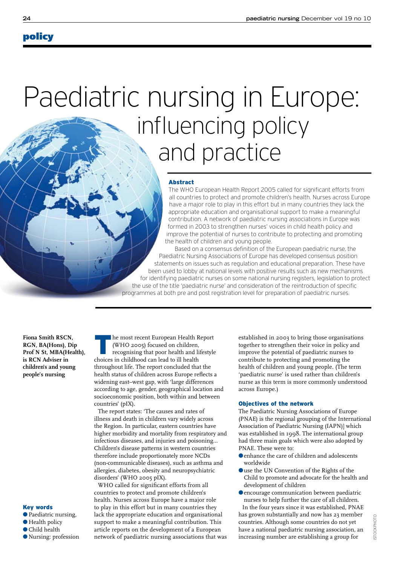# policy

# Paediatric nursing in Europe: influencing policy and practice

#### Abstract

The WHO European Health Report 2005 called for significant efforts from all countries to protect and promote children's health. Nurses across Europe have a major role to play in this effort but in many countries they lack the appropriate education and organisational support to make a meaningful contribution. A network of paediatric nursing associations in Europe was formed in 2003 to strengthen nurses' voices in child health policy and improve the potential of nurses to contribute to protecting and promoting the health of children and young people.

 Based on a consensus definition of the European paediatric nurse, the Paediatric Nursing Associations of Europe has developed consensus position statements on issues such as regulation and educational preparation. These have been used to lobby at national levels with positive results such as new mechanisms for identifying paediatric nurses on some national nursing registers, legislation to protect the use of the title 'paediatric nurse' and consideration of the reintroduction of specific programmes at both pre and post registration level for preparation of paediatric nurses.

**Fiona Smith RSCN, RGN, BA(Hons), Dip Prof N St, MBA(Health), is RCN Adviser in children's and young people's nursing**

# Key words

- Paediatric nursing, ● Health policy
- Child health
- Nursing: profession ●

Ihe most recent European Health Report (WHO 2005) focused on children, recognising that poor health and lifestyle choices in childhood can lead to ill health throughout life. The report concluded that the health status of children across Europe reflects a widening east–west gap, with 'large differences according to age, gender, geographical location and socioeconomic position, both within and between countries' (pIX).

The report states: 'The causes and rates of illness and death in children vary widely across the Region. In particular, eastern countries have higher morbidity and mortality from respiratory and infectious diseases, and injuries and poisoning… Children's disease patterns in western countries therefore include proportionately more NCDs (non-communicable diseases), such as asthma and allergies, diabetes, obesity and neuropsychiatric disorders' (WHO 2005 pIX).

WHO called for significant efforts from all countries to protect and promote children's health. Nurses across Europe have a major role to play in this effort but in many countries they lack the appropriate education and organisational support to make a meaningful contribution. This article reports on the development of a European network of paediatric nursing associations that was established in 2003 to bring those organisations together to strengthen their voice in policy and improve the potential of paediatric nurses to contribute to protecting and promoting the health of children and young people. (The term 'paediatric nurse' is used rather than children's nurse as this term is more commonly understood across Europe.)

#### Objectives of the network

The Paediatric Nursing Associations of Europe (PNAE) is the regional grouping of the International Association of Paediatric Nursing (IAPN)] which was established in 1998. The international group had three main goals which were also adopted by PNAE. These were to:

- enhance the care of children and adolescents worldwide
- Ouse the UN Convention of the Rights of the Child to promote and advocate for the health and development of children
- **O** encourage communication between paediatric nurses to help further the care of all children.

In the four years since it was established, PNAE has grown substantially and now has 23 member countries. Although some countries do not yet have a national paediatric nursing association, an increasing number are establishing a group for